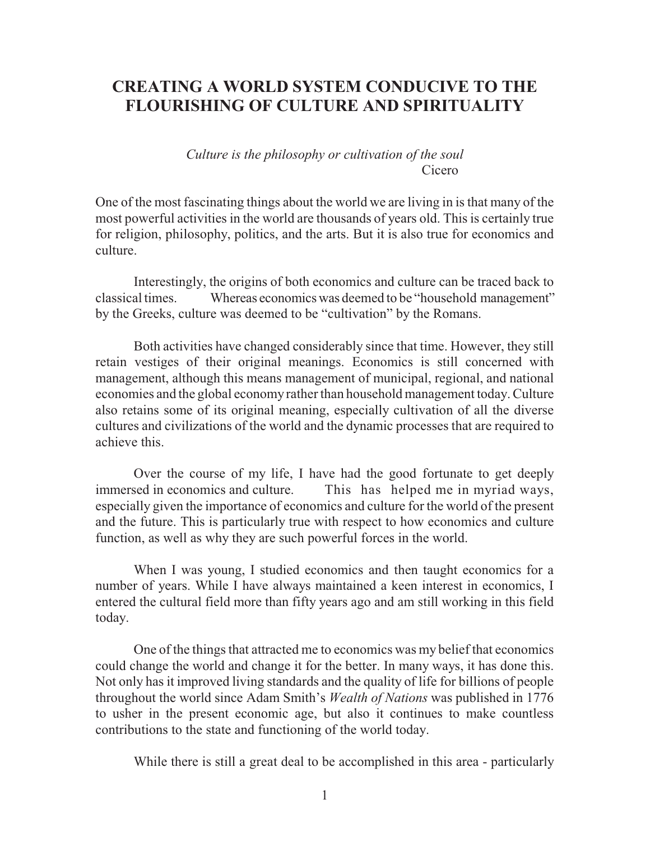## **CREATING A WORLD SYSTEM CONDUCIVE TO THE FLOURISHING OF CULTURE AND SPIRITUALITY**

*Culture is the philosophy or cultivation of the soul* Cicero

One of the most fascinating things about the world we are living in is that many of the most powerful activities in the world are thousands of years old. This is certainly true for religion, philosophy, politics, and the arts. But it is also true for economics and culture.

Interestingly, the origins of both economics and culture can be traced back to classical times. Whereas economicswas deemed to be "household management" by the Greeks, culture was deemed to be "cultivation" by the Romans.

Both activities have changed considerably since that time. However, they still retain vestiges of their original meanings. Economics is still concerned with management, although this means management of municipal, regional, and national economies and the global economy rather than household management today. Culture also retains some of its original meaning, especially cultivation of all the diverse cultures and civilizations of the world and the dynamic processes that are required to achieve this.

Over the course of my life, I have had the good fortunate to get deeply immersed in economics and culture. This has helped me in myriad ways, especially given the importance of economics and culture for the world of the present and the future. This is particularly true with respect to how economics and culture function, as well as why they are such powerful forces in the world.

When I was young, I studied economics and then taught economics for a number of years. While I have always maintained a keen interest in economics, I entered the cultural field more than fifty years ago and am still working in this field today.

One of the things that attracted me to economics was my belief that economics could change the world and change it for the better. In many ways, it has done this. Not only has it improved living standards and the quality of life for billions of people throughout the world since Adam Smith's *Wealth of Nations* was published in 1776 to usher in the present economic age, but also it continues to make countless contributions to the state and functioning of the world today.

While there is still a great deal to be accomplished in this area - particularly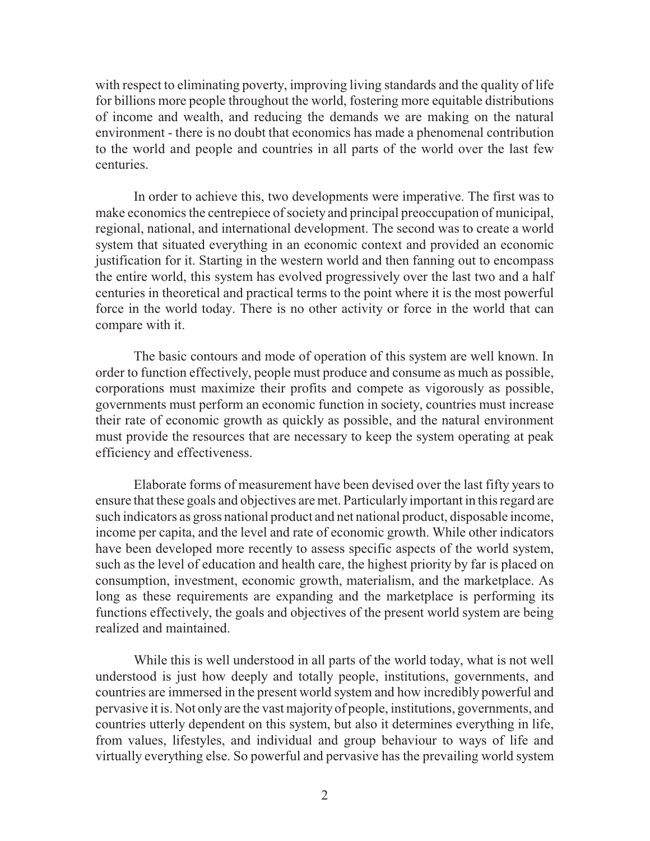with respect to eliminating poverty, improving living standards and the quality of life for billions more people throughout the world, fostering more equitable distributions of income and wealth, and reducing the demands we are making on the natural environment - there is no doubt that economics has made a phenomenal contribution to the world and people and countries in all parts of the world over the last few centuries.

In order to achieve this, two developments were imperative. The first was to make economics the centrepiece of society and principal preoccupation of municipal, regional, national, and international development. The second was to create a world system that situated everything in an economic context and provided an economic justification for it. Starting in the western world and then fanning out to encompass the entire world, this system has evolved progressively over the last two and a half centuries in theoretical and practical terms to the point where it is the most powerful force in the world today. There is no other activity or force in the world that can compare with it.

The basic contours and mode of operation of this system are well known. In order to function effectively, people must produce and consume as much as possible, corporations must maximize their profits and compete as vigorously as possible, governments must perform an economic function in society, countries must increase their rate of economic growth as quickly as possible, and the natural environment must provide the resources that are necessary to keep the system operating at peak efficiency and effectiveness.

Elaborate forms of measurement have been devised over the last fifty years to ensure that these goals and objectives are met. Particularly important in this regard are such indicators as gross national product and net national product, disposable income, income per capita, and the level and rate of economic growth. While other indicators have been developed more recently to assess specific aspects of the world system, such as the level of education and health care, the highest priority by far is placed on consumption, investment, economic growth, materialism, and the marketplace. As long as these requirements are expanding and the marketplace is performing its functions effectively, the goals and objectives of the present world system are being realized and maintained.

While this is well understood in all parts of the world today, what is not well understood is just how deeply and totally people, institutions, governments, and countries are immersed in the present world system and how incredibly powerful and pervasive it is. Not only are the vast majority of people, institutions, governments, and countries utterly dependent on this system, but also it determines everything in life, from values, lifestyles, and individual and group behaviour to ways of life and virtually everything else. So powerful and pervasive has the prevailing world system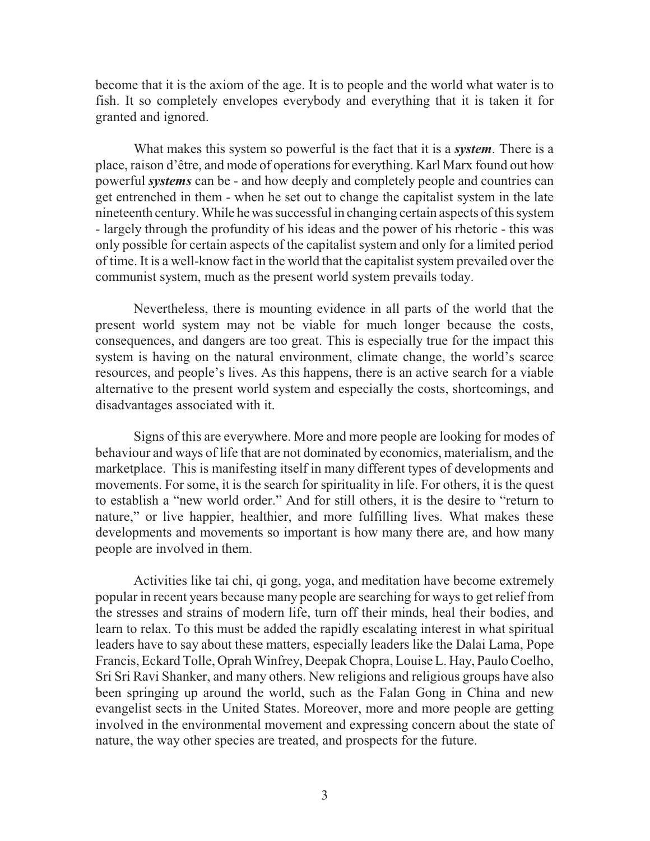become that it is the axiom of the age. It is to people and the world what water is to fish. It so completely envelopes everybody and everything that it is taken it for granted and ignored.

What makes this system so powerful is the fact that it is a *system.* There is a place, raison d'être, and mode of operations for everything. Karl Marx found out how powerful *systems* can be - and how deeply and completely people and countries can get entrenched in them - when he set out to change the capitalist system in the late nineteenth century. While he was successful in changing certain aspects ofthis system - largely through the profundity of his ideas and the power of his rhetoric - this was only possible for certain aspects of the capitalist system and only for a limited period of time. It is a well-know fact in the world that the capitalist system prevailed over the communist system, much as the present world system prevails today.

Nevertheless, there is mounting evidence in all parts of the world that the present world system may not be viable for much longer because the costs, consequences, and dangers are too great. This is especially true for the impact this system is having on the natural environment, climate change, the world's scarce resources, and people's lives. As this happens, there is an active search for a viable alternative to the present world system and especially the costs, shortcomings, and disadvantages associated with it.

Signs of this are everywhere. More and more people are looking for modes of behaviour and ways of life that are not dominated by economics, materialism, and the marketplace. This is manifesting itself in many different types of developments and movements. For some, it is the search for spirituality in life. For others, it is the quest to establish a "new world order." And for still others, it is the desire to "return to nature," or live happier, healthier, and more fulfilling lives. What makes these developments and movements so important is how many there are, and how many people are involved in them.

Activities like tai chi, qi gong, yoga, and meditation have become extremely popular in recent years because many people are searching for ways to get relief from the stresses and strains of modern life, turn off their minds, heal their bodies, and learn to relax. To this must be added the rapidly escalating interest in what spiritual leaders have to say about these matters, especially leaders like the Dalai Lama, Pope Francis, Eckard Tolle, Oprah Winfrey, Deepak Chopra, Louise L. Hay, Paulo Coelho, Sri Sri Ravi Shanker, and many others. New religions and religious groups have also been springing up around the world, such as the Falan Gong in China and new evangelist sects in the United States. Moreover, more and more people are getting involved in the environmental movement and expressing concern about the state of nature, the way other species are treated, and prospects for the future.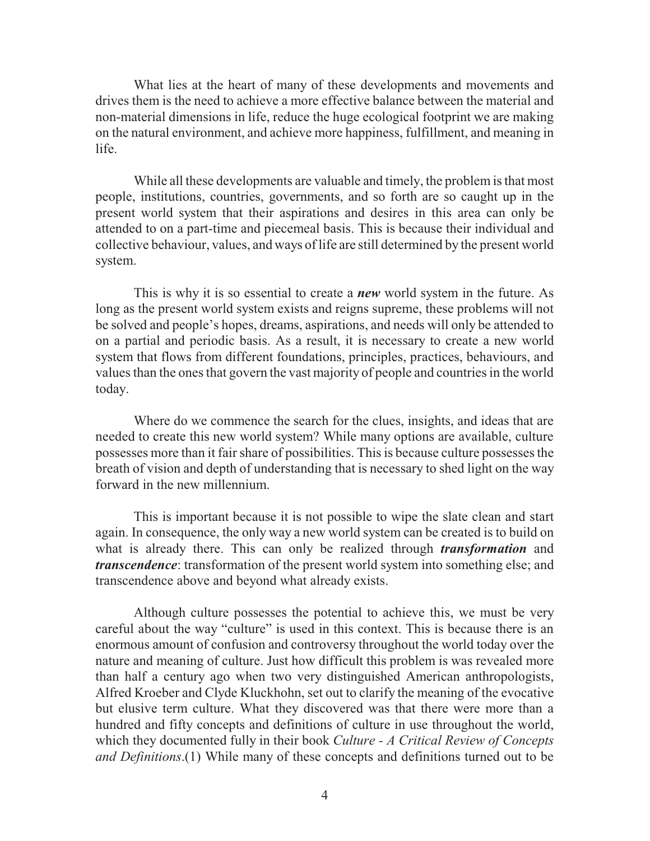What lies at the heart of many of these developments and movements and drives them is the need to achieve a more effective balance between the material and non-material dimensions in life, reduce the huge ecological footprint we are making on the natural environment, and achieve more happiness, fulfillment, and meaning in life.

While all these developments are valuable and timely, the problem is that most people, institutions, countries, governments, and so forth are so caught up in the present world system that their aspirations and desires in this area can only be attended to on a part-time and piecemeal basis. This is because their individual and collective behaviour, values, and ways oflife are still determined by the present world system.

This is why it is so essential to create a *new* world system in the future. As long as the present world system exists and reigns supreme, these problems will not be solved and people's hopes, dreams, aspirations, and needs will only be attended to on a partial and periodic basis. As a result, it is necessary to create a new world system that flows from different foundations, principles, practices, behaviours, and values than the ones that govern the vast majority of people and countries in the world today.

Where do we commence the search for the clues, insights, and ideas that are needed to create this new world system? While many options are available, culture possesses more than it fair share of possibilities. This is because culture possesses the breath of vision and depth of understanding that is necessary to shed light on the way forward in the new millennium.

This is important because it is not possible to wipe the slate clean and start again. In consequence, the only way a new world system can be created is to build on what is already there. This can only be realized through *transformation* and *transcendence*: transformation of the present world system into something else; and transcendence above and beyond what already exists.

Although culture possesses the potential to achieve this, we must be very careful about the way "culture" is used in this context. This is because there is an enormous amount of confusion and controversy throughout the world today over the nature and meaning of culture. Just how difficult this problem is was revealed more than half a century ago when two very distinguished American anthropologists, Alfred Kroeber and Clyde Kluckhohn, set out to clarify the meaning of the evocative but elusive term culture. What they discovered was that there were more than a hundred and fifty concepts and definitions of culture in use throughout the world, which they documented fully in their book *Culture - A Critical Review of Concepts and Definitions*.(1) While many of these concepts and definitions turned out to be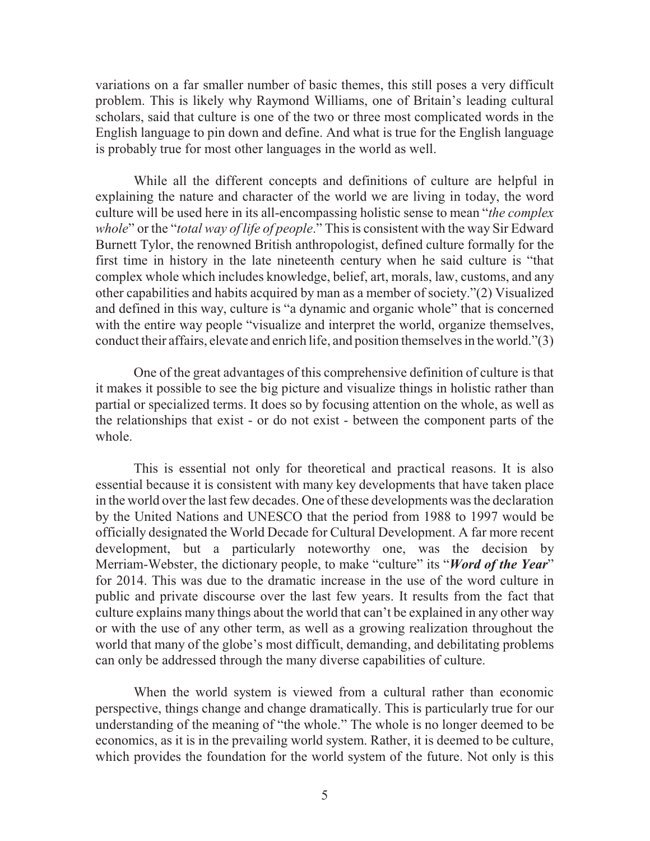variations on a far smaller number of basic themes, this still poses a very difficult problem. This is likely why Raymond Williams, one of Britain's leading cultural scholars, said that culture is one of the two or three most complicated words in the English language to pin down and define. And what is true for the English language is probably true for most other languages in the world as well.

While all the different concepts and definitions of culture are helpful in explaining the nature and character of the world we are living in today, the word culture will be used here in its all-encompassing holistic sense to mean "*the complex whole*" or the "*total way of life of people*." This is consistent with the way Sir Edward Burnett Tylor, the renowned British anthropologist, defined culture formally for the first time in history in the late nineteenth century when he said culture is "that complex whole which includes knowledge, belief, art, morals, law, customs, and any other capabilities and habits acquired by man as a member of society."(2) Visualized and defined in this way, culture is "a dynamic and organic whole" that is concerned with the entire way people "visualize and interpret the world, organize themselves, conduct their affairs, elevate and enrich life, and position themselves in the world."(3)

One of the great advantages of this comprehensive definition of culture is that it makes it possible to see the big picture and visualize things in holistic rather than partial or specialized terms. It does so by focusing attention on the whole, as well as the relationships that exist - or do not exist - between the component parts of the whole.

This is essential not only for theoretical and practical reasons. It is also essential because it is consistent with many key developments that have taken place in the world over the last few decades. One of these developments was the declaration by the United Nations and UNESCO that the period from 1988 to 1997 would be officially designated the World Decade for Cultural Development. A far more recent development, but a particularly noteworthy one, was the decision by Merriam-Webster, the dictionary people, to make "culture" its "*Word of the Year*" for 2014. This was due to the dramatic increase in the use of the word culture in public and private discourse over the last few years. It results from the fact that culture explains many things about the world that can't be explained in any other way or with the use of any other term, as well as a growing realization throughout the world that many of the globe's most difficult, demanding, and debilitating problems can only be addressed through the many diverse capabilities of culture.

When the world system is viewed from a cultural rather than economic perspective, things change and change dramatically. This is particularly true for our understanding of the meaning of "the whole." The whole is no longer deemed to be economics, as it is in the prevailing world system. Rather, it is deemed to be culture, which provides the foundation for the world system of the future. Not only is this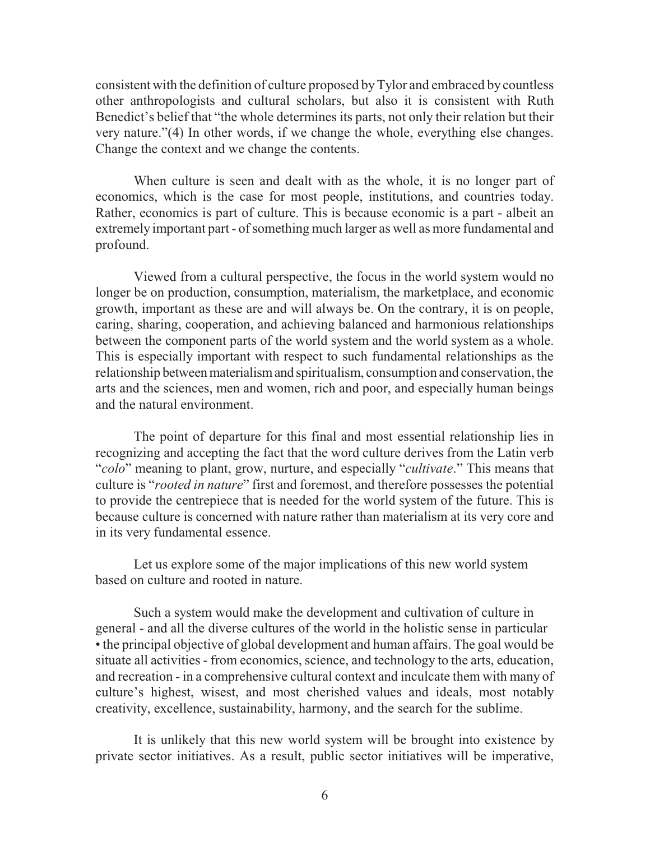consistent with the definition of culture proposed byTylor and embraced by countless other anthropologists and cultural scholars, but also it is consistent with Ruth Benedict's belief that "the whole determines its parts, not only their relation but their very nature."(4) In other words, if we change the whole, everything else changes. Change the context and we change the contents.

When culture is seen and dealt with as the whole, it is no longer part of economics, which is the case for most people, institutions, and countries today. Rather, economics is part of culture. This is because economic is a part - albeit an extremely important part - of something much larger as well as more fundamental and profound.

Viewed from a cultural perspective, the focus in the world system would no longer be on production, consumption, materialism, the marketplace, and economic growth, important as these are and will always be. On the contrary, it is on people, caring, sharing, cooperation, and achieving balanced and harmonious relationships between the component parts of the world system and the world system as a whole. This is especially important with respect to such fundamental relationships as the relationship between materialism and spiritualism, consumption and conservation, the arts and the sciences, men and women, rich and poor, and especially human beings and the natural environment.

The point of departure for this final and most essential relationship lies in recognizing and accepting the fact that the word culture derives from the Latin verb "*colo*" meaning to plant, grow, nurture, and especially "*cultivate*." This means that culture is "*rooted in nature*" first and foremost, and therefore possesses the potential to provide the centrepiece that is needed for the world system of the future. This is because culture is concerned with nature rather than materialism at its very core and in its very fundamental essence.

Let us explore some of the major implications of this new world system based on culture and rooted in nature.

Such a system would make the development and cultivation of culture in general - and all the diverse cultures of the world in the holistic sense in particular • the principal objective of global development and human affairs. The goal would be situate all activities - from economics, science, and technology to the arts, education, and recreation - in a comprehensive cultural context and inculcate them with many of culture's highest, wisest, and most cherished values and ideals, most notably creativity, excellence, sustainability, harmony, and the search for the sublime.

It is unlikely that this new world system will be brought into existence by private sector initiatives. As a result, public sector initiatives will be imperative,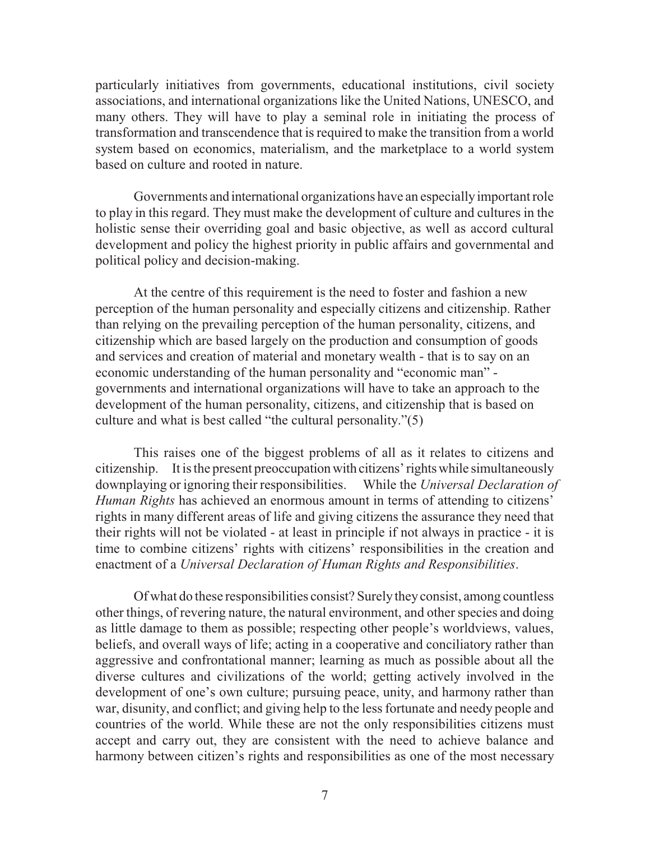particularly initiatives from governments, educational institutions, civil society associations, and international organizations like the United Nations, UNESCO, and many others. They will have to play a seminal role in initiating the process of transformation and transcendence that is required to make the transition from a world system based on economics, materialism, and the marketplace to a world system based on culture and rooted in nature.

Governments and international organizations have an especiallyimportant role to play in this regard. They must make the development of culture and cultures in the holistic sense their overriding goal and basic objective, as well as accord cultural development and policy the highest priority in public affairs and governmental and political policy and decision-making.

At the centre of this requirement is the need to foster and fashion a new perception of the human personality and especially citizens and citizenship. Rather than relying on the prevailing perception of the human personality, citizens, and citizenship which are based largely on the production and consumption of goods and services and creation of material and monetary wealth - that is to say on an economic understanding of the human personality and "economic man" governments and international organizations will have to take an approach to the development of the human personality, citizens, and citizenship that is based on culture and what is best called "the cultural personality."(5)

This raises one of the biggest problems of all as it relates to citizens and citizenship. It is the present preoccupationwith citizens'rightswhile simultaneously downplaying or ignoring their responsibilities. While the *Universal Declaration of Human Rights* has achieved an enormous amount in terms of attending to citizens' rights in many different areas of life and giving citizens the assurance they need that their rights will not be violated - at least in principle if not always in practice - it is time to combine citizens' rights with citizens' responsibilities in the creation and enactment of a *Universal Declaration of Human Rights and Responsibilities*.

Of what do these responsibilities consist? Surelytheyconsist, among countless other things, of revering nature, the natural environment, and other species and doing as little damage to them as possible; respecting other people's worldviews, values, beliefs, and overall ways of life; acting in a cooperative and conciliatory rather than aggressive and confrontational manner; learning as much as possible about all the diverse cultures and civilizations of the world; getting actively involved in the development of one's own culture; pursuing peace, unity, and harmony rather than war, disunity, and conflict; and giving help to the less fortunate and needy people and countries of the world. While these are not the only responsibilities citizens must accept and carry out, they are consistent with the need to achieve balance and harmony between citizen's rights and responsibilities as one of the most necessary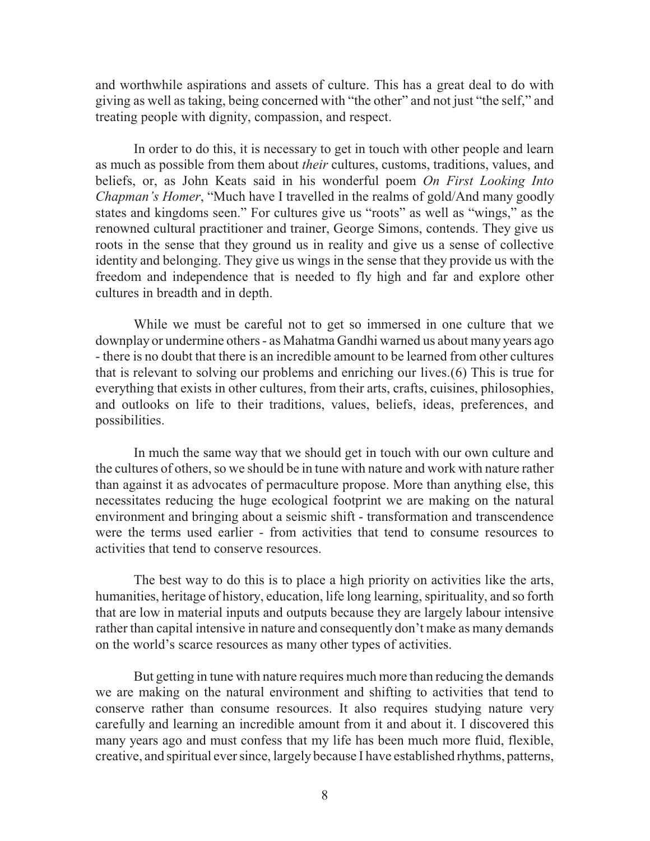and worthwhile aspirations and assets of culture. This has a great deal to do with giving as well as taking, being concerned with "the other" and not just "the self," and treating people with dignity, compassion, and respect.

In order to do this, it is necessary to get in touch with other people and learn as much as possible from them about *their* cultures, customs, traditions, values, and beliefs, or, as John Keats said in his wonderful poem *On First Looking Into Chapman's Homer*, "Much have I travelled in the realms of gold/And many goodly states and kingdoms seen." For cultures give us "roots" as well as "wings," as the renowned cultural practitioner and trainer, George Simons, contends. They give us roots in the sense that they ground us in reality and give us a sense of collective identity and belonging. They give us wings in the sense that they provide us with the freedom and independence that is needed to fly high and far and explore other cultures in breadth and in depth.

While we must be careful not to get so immersed in one culture that we downplay or undermine others - as Mahatma Gandhi warned us about many years ago - there is no doubt that there is an incredible amount to be learned from other cultures that is relevant to solving our problems and enriching our lives.(6) This is true for everything that exists in other cultures, from their arts, crafts, cuisines, philosophies, and outlooks on life to their traditions, values, beliefs, ideas, preferences, and possibilities.

In much the same way that we should get in touch with our own culture and the cultures of others, so we should be in tune with nature and work with nature rather than against it as advocates of permaculture propose. More than anything else, this necessitates reducing the huge ecological footprint we are making on the natural environment and bringing about a seismic shift - transformation and transcendence were the terms used earlier - from activities that tend to consume resources to activities that tend to conserve resources.

The best way to do this is to place a high priority on activities like the arts, humanities, heritage of history, education, life long learning, spirituality, and so forth that are low in material inputs and outputs because they are largely labour intensive rather than capital intensive in nature and consequently don't make as many demands on the world's scarce resources as many other types of activities.

But getting in tune with nature requires much more than reducing the demands we are making on the natural environment and shifting to activities that tend to conserve rather than consume resources. It also requires studying nature very carefully and learning an incredible amount from it and about it. I discovered this many years ago and must confess that my life has been much more fluid, flexible, creative, and spiritual ever since, largely because I have established rhythms, patterns,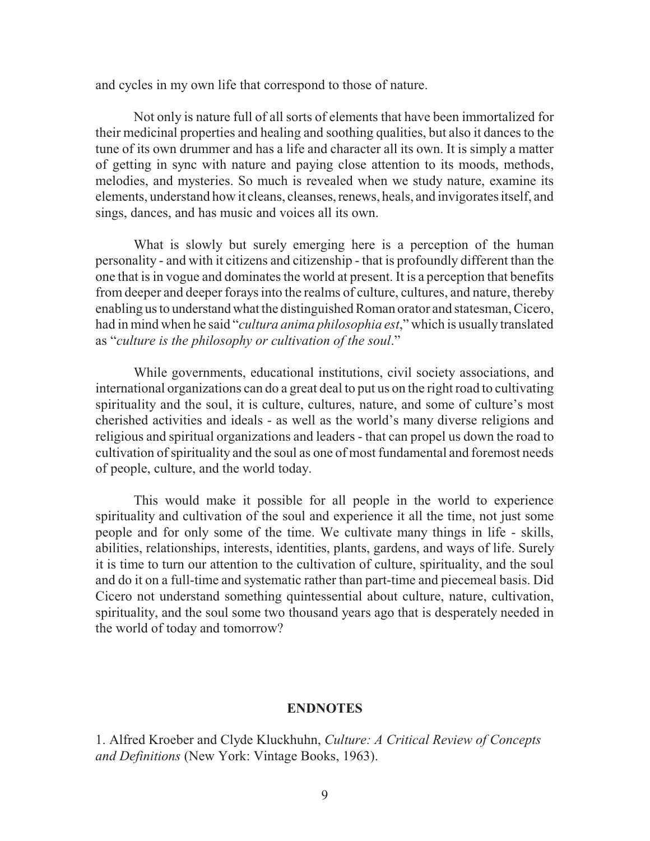and cycles in my own life that correspond to those of nature.

Not only is nature full of all sorts of elements that have been immortalized for their medicinal properties and healing and soothing qualities, but also it dances to the tune of its own drummer and has a life and character all its own. It is simply a matter of getting in sync with nature and paying close attention to its moods, methods, melodies, and mysteries. So much is revealed when we study nature, examine its elements, understand how it cleans, cleanses, renews, heals, and invigorates itself, and sings, dances, and has music and voices all its own.

What is slowly but surely emerging here is a perception of the human personality - and with it citizens and citizenship - that is profoundly different than the one that is in vogue and dominates the world at present. It is a perception that benefits from deeper and deeper forays into the realms of culture, cultures, and nature, thereby enabling us to understandwhat the distinguished Roman orator and statesman, Cicero, had in mind when he said "*cultura anima philosophia est*," which is usually translated as "*culture is the philosophy or cultivation of the soul*."

While governments, educational institutions, civil society associations, and international organizations can do a great deal to put us on the right road to cultivating spirituality and the soul, it is culture, cultures, nature, and some of culture's most cherished activities and ideals - as well as the world's many diverse religions and religious and spiritual organizations and leaders - that can propel us down the road to cultivation ofspirituality and the soul as one of most fundamental and foremost needs of people, culture, and the world today.

This would make it possible for all people in the world to experience spirituality and cultivation of the soul and experience it all the time, not just some people and for only some of the time. We cultivate many things in life - skills, abilities, relationships, interests, identities, plants, gardens, and ways of life. Surely it is time to turn our attention to the cultivation of culture, spirituality, and the soul and do it on a full-time and systematic rather than part-time and piecemeal basis. Did Cicero not understand something quintessential about culture, nature, cultivation, spirituality, and the soul some two thousand years ago that is desperately needed in the world of today and tomorrow?

## **ENDNOTES**

1. Alfred Kroeber and Clyde Kluckhuhn, *Culture: A Critical Review of Concepts and Definitions* (New York: Vintage Books, 1963).